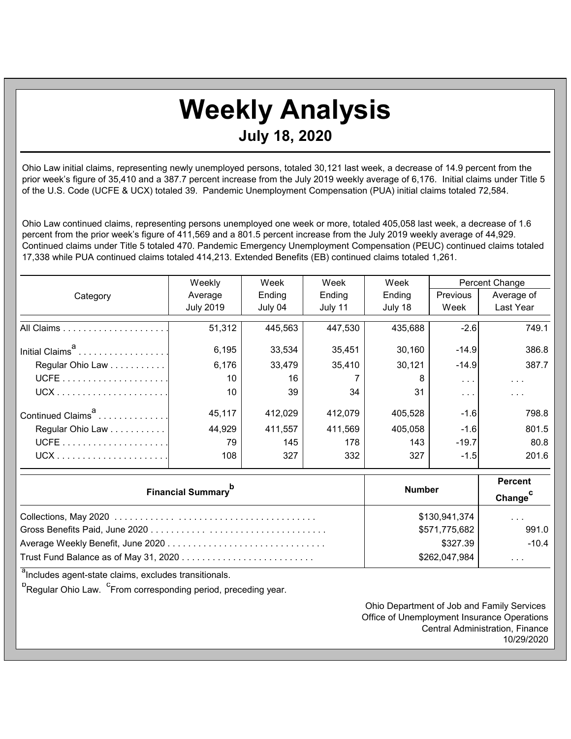## **Weekly Analysis July 18, 2020**

Ohio Law initial claims, representing newly unemployed persons, totaled 30,121 last week, a decrease of 14.9 percent from the prior week's figure of 35,410 and a 387.7 percent increase from the July 2019 weekly average of 6,176. Initial claims under Title 5 of the U.S. Code (UCFE & UCX) totaled 39. Pandemic Unemployment Compensation (PUA) initial claims totaled 72,584.

Ohio Law continued claims, representing persons unemployed one week or more, totaled 405,058 last week, a decrease of 1.6 percent from the prior week's figure of 411,569 and a 801.5 percent increase from the July 2019 weekly average of 44,929. Continued claims under Title 5 totaled 470. Pandemic Emergency Unemployment Compensation (PEUC) continued claims totaled 17,338 while PUA continued claims totaled 414,213. Extended Benefits (EB) continued claims totaled 1,261.

|                               | Weekly           | Week    | Week    | Week    | Percent Change          |            |
|-------------------------------|------------------|---------|---------|---------|-------------------------|------------|
| Category                      | Average          | Ending  | Ending  | Ending  | Previous                | Average of |
|                               | <b>July 2019</b> | July 04 | July 11 | July 18 | Week                    | Last Year  |
|                               | 51,312           | 445,563 | 447,530 | 435,688 | $-2.6$                  | 749.1      |
| Initial Claims <sup>"</sup>   | 6,195            | 33,534  | 35,451  | 30,160  | $-14.9$                 | 386.8      |
| Regular Ohio Law              | 6,176            | 33,479  | 35,410  | 30,121  | $-14.9$                 | 387.7      |
|                               | 10               | 16      |         | 8       | $\sim$ $\sim$ $\sim$    | $\cdots$   |
|                               | 10               | 39      | 34      | 31      | $\cdot$ $\cdot$ $\cdot$ | $\cdots$   |
| Continued Claims <sup>a</sup> | 45,117           | 412.029 | 412,079 | 405,528 | $-1.6$                  | 798.8      |
| Regular Ohio Law              | 44,929           | 411,557 | 411,569 | 405,058 | $-1.6$                  | 801.5      |
|                               | 79               | 145     | 178     | 143     | $-19.7$                 | 80.8       |
|                               | 108              | 327     | 332     | 327     | $-1.5$                  | 201.6      |

| <b>Financial Summary</b> <sup>p</sup> | <b>Number</b> | <b>Percent</b><br>Change <sup>C</sup> |  |
|---------------------------------------|---------------|---------------------------------------|--|
|                                       | \$130,941,374 | $\sim$ $\sim$ $\sim$                  |  |
|                                       | \$571,775,682 | 991.0                                 |  |
|                                       | \$327.39      | $-10.4$                               |  |
|                                       | \$262,047,984 | $\cdot$ $\cdot$ $\cdot$               |  |

<sup>a</sup>Includes agent-state claims, excludes transitionals.

<sup>b</sup>Regular Ohio Law. <sup>C</sup>From corresponding period, preceding year.

Ohio Department of Job and Family Services Office of Unemployment Insurance Operations Central Administration, Finance 10/29/2020